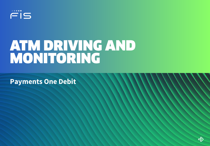

# ATM DRIVING AND MONITORING

**Payments One Debit**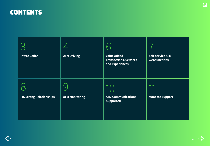### **CONTENTS**

| <b>Introduction</b>             | <b>ATM Driving</b>    | <b>Value Added</b><br><b>Transactions, Services</b><br>and Experiences | <b>Self-service ATM</b><br>web functions |
|---------------------------------|-----------------------|------------------------------------------------------------------------|------------------------------------------|
| <b>FIS Strong Relationships</b> | <b>ATM Monitoring</b> | <b>ATM Communications</b><br><b>Supported</b>                          | <b>Mandate Support</b>                   |

 $\widehat{\underline{\mathrm{ml}}}$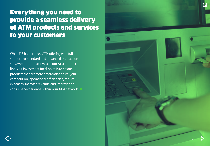### <span id="page-2-0"></span>Everything you need to provide a seamless delivery of ATM products and services to your customers

While FIS has a robust ATM offering with full support for standard and advanced transaction sets, we continue to invest in our ATM product line. Our investment focal point is to create products that promote differentiation vs. your competition, operational efficiencies, reduce expenses, increase revenue and improve the consumer experience within your ATM network.

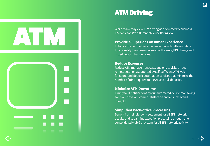<span id="page-3-0"></span>



While many may view ATM driving as a commodity business, FIS does not. We differentiate our offering via:

#### **Provide a Superior Consumer Experience**

Enhance the cardholder experience through differentiating functionality like consumer selected bill-mix, PIN change and mixed deposit transactions.

#### **Reduce Expenses**

Reduce ATM management costs and onsite visits through remote solutions supported by self-sufficient ATM web functions and deposit automation services that minimize the number of trips required to the ATM to pull deposits.

#### **Minimize ATM Downtime**

Timely fault notifications by our automated device monitoring solution, drives customer satisfaction and ensures brand integrity.

#### **Simplified Back-office Processing**

Benefit from single-point settlement for all EFT network activity and streamline exception processing through one consolidated web GUI system for all EFT network activity.

**Inl**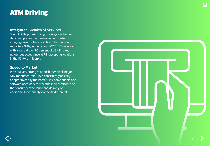### ATM Driving

#### **Integrated Breadth of Services**

Your FIS AT M program is tightly integrated to our debit and prepaid card management systems, imaging systems, fraud solutions, t ransaction r e pository GUIs, as well as our NYC E EFT network w i th access at over 90 percent of US ATMs and ubiquitous acceptance at PIN-accep ting locations in the US (two million+).

#### **Speed to Market**

Wi th our very strong relationships wi th all major ATM manufacturers, FIS is consistently an early adopter to certify the latest ATMs, components and software necessary to meet the inc reased focus on the consumer experience and delivery of additional functionality via the ATM channel.



**Inl**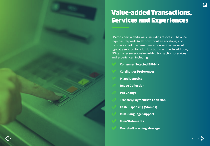### <span id="page-5-0"></span>Value-added Transactions, Services and Experiences

FIS considers withdrawals (including fast cash), balance inquiries, deposits (with or without an envelope) and transfer as part of a base transaction set that we would typically support for a full function machine. In addition, FIS can offer several value-added transactions, services and experiences, including:

- **Consumer Selected Bill-Mix**
- **Cardholder Preferences**
- **Mixed Deposits**
- **Image Collection**
- **PIN Change**
- **Transfer/Payments to Loan Non-**
- **Cash Dispensing (Stamps)**
- **Multi-language Support**
- **Mini-Statements**
- **Overdraft Warning Message**

**Inl** 

6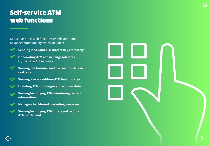## <span id="page-6-0"></span>Self-service ATM web functions

Self-service ATM web functions enable additional advanced functionality which includes:

 $\blacktriangledown$ 

**Sending loads and ATM master keys remotely**

- **Onboarding ATM adds/changes/deletes**   $\boldsymbol{\mathcal{S}}$ **to/from the FIS network**
- **Viewing the terminal and transaction data in**   $\blacktriangledown$ **real time**
- **Viewing a near real-time ATM health status**  $\blacktriangledown$
- **Updating ATM surcharges and address data**  $\blacktriangledown$
- **Viewing/modifying ATM monitoring contact information**
- **Managing text-based marketing messages**
- **Viewing/modifying ATM totals and remote ATM settlement**



**Inl**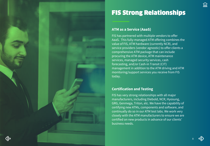<span id="page-7-0"></span>

## FIS Strong Relationships

#### **ATM as a Service (AaaS)**

FIS has partnered with multiple vendors to offer AaaS. This fully-managed ATM offering combines the value of FIS, ATM hardware (currently NCR), and service providers (vendor agnostic) to offer clients a comprehensive ATM package that can include procuring the ATM device, ATM maintenance services, managed security services, cash forecasting, and/or Cash-in Transit (CIT) management in addition to the ATM driving and ATM monitoring/support services you receive from FIS today.

#### **Certification and Testing**

FIS has very strong relationships with all major manufacturers, including Diebold, NCR, Hyosung, GRG, Genmega, Triton, etc. We have the capability of certifying new ATMs, components and software, and continually do so in our ATM test labs. We work very closely with the ATM manufacturers to ensure we are certified on new products in advance of our clients' business needs.

ÍnÌ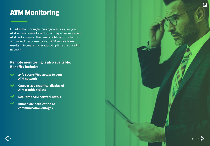### <span id="page-8-0"></span>ATM Monitoring

FIS ATM monitoring technology alerts you or your ATM service team of events that may adversely affect ATM performance. The timely notification of faults and a quick response by your ATM service team results in increased operational uptime of your ATM network.

### **Remote monitoring is also available. Benefits include:**

- **24/7 secure Web access to your**   $\heartsuit$ **ATM network**
- $\heartsuit$ **Categorized graphical display of ATM trouble tickets**
- **Real-time ATM network status**  $\mathbb V$
- **Immediate notification of**   $\mathcal Q$ **communication outages**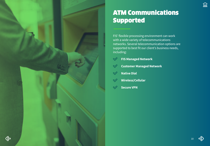<span id="page-9-0"></span>

### ATM Communications Supported

FIS' flexible processing environment can work with a wide variety of telecommunications networks. Several telecommunication options are supported to best fit our client's business needs, including:

- $\mathcal Q$ **FIS Managed Network**
- **Customer Managed Network**   $\bigvee$
- **Native Dial**   $\bigvee$
- **Wireless/Cellular**   $\infty$
- **Secure VPN**   $\checkmark$

 $\widehat{\ln l}$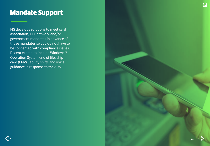### <span id="page-10-0"></span>Mandate Support

FIS develops solutions to meet card association, EFT network and/or government mandates in advance of those mandates so you do not have to be concerned with compliance issues. Recent examples include Windows 7 Operation System end of life, chip card (EMV) liability shifts and voice guidance in response to the ADA.

(←

11

ÍnÌ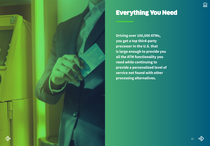

### Everything You Need

**Driving over 100,000 ATMs, you get a top third-party processer in the U.S. that is large enough to provide you all the ATM functionality you need while continuing to provide a personalized level of service not found with other processing alternatives.** 

 $\widehat{\ln l}$